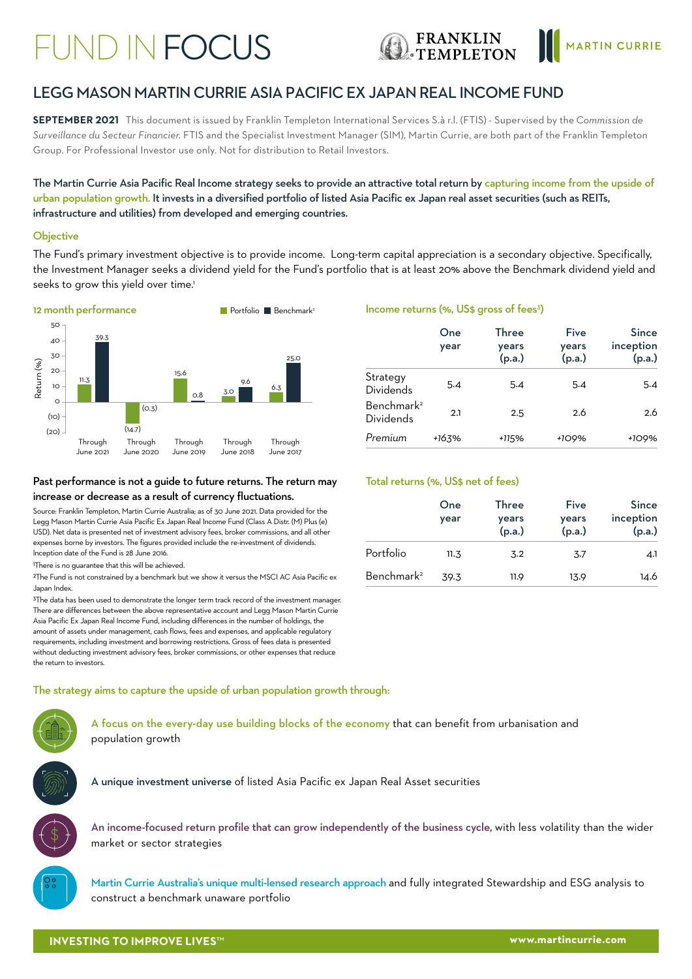# FUND IN FOCUS





# LEGG MASON MARTIN CURRIE ASIA PACIFIC EX JAPAN REAL INCOME FUND

**SEPTEMBER 2021** This document is issued by Franklin Templeton International Services S.à r.l. (FTIS) - Supervised by the *Commission de Surveillance du Secteur Financier.* FTIS and the Specialist Investment Manager (SIM), Martin Currie, are both part of the Franklin Templeton Group. For Professional Investor use only. Not for distribution to Retail Investors.

The Martin Currie Asia Pacific Real Income strategy seeks to provide an attractive total return by capturing income from the upside of urban population growth. It invests in a diversified portfolio of listed Asia Pacific ex Japan real asset securities (such as REITs, infrastructure and utilities) from developed and emerging countries.

#### **Objective**

The Fund's primary investment objective is to provide income. Long-term capital appreciation is a secondary objective. Specifically, the Investment Manager seeks a dividend yield for the Fund's portfolio that is at least 20% above the Benchmark dividend yield and seeks to grow this yield over time.<sup>1</sup>



#### Past performance is not a guide to future returns. The return may increase or decrease as a result of currency fluctuations.

Source: Franklin Templeton, Martin Currie Australia; as of 30 June 2021. Data provided for the Legg Mason Martin Currie Asia Pacific Ex Japan Real Income Fund (Class A Distr. (M) Plus (e) USD). Net data is presented net of investment advisory fees, broker commissions, and all other expenses borne by investors. The figures provided include the re-investment of dividends. Inception date of the Fund is 28 June 2016.

1There is no guarantee that this will be achieved.

2The Fund is not constrained by a benchmark but we show it versus the MSCI AC Asia Pacific ex Japan Index.

<sup>3</sup>The data has been used to demonstrate the longer term track record of the investment manager. There are differences between the above representative account and Legg Mason Martin Currie Asia Pacific Ex Japan Real Income Fund, including differences in the number of holdings, the amount of assets under management, cash flows, fees and expenses, and applicable regulatory requirements, including investment and borrowing restrictions. Gross of fees data is presented without deducting investment advisory fees, broker commissions, or other expenses that reduce the return to investors.

#### Income returns (%, US\$ gross of fees<sup>3</sup>)

|                                     | One<br>year | Three<br>years<br>(p.a.) | Five<br>years<br>(p.a.) | <b>Since</b><br>inception<br>(p.a.) |
|-------------------------------------|-------------|--------------------------|-------------------------|-------------------------------------|
| Strategy<br>Dividends               | 5.4         | 5.4                      | 5.4                     | 5.4                                 |
| Benchmark <sup>2</sup><br>Dividends | 2.1         | 2.5                      | 2.6                     | 2.6                                 |
| Premium                             | +163%       | +115%                    | +109%                   | +109%                               |

#### Total returns (%, US\$ net of fees)

|                        | One<br>year | Three<br>years<br>(p.a.) | Five<br>years<br>(p.a.) | <b>Since</b><br>inception<br>(p.a.) |
|------------------------|-------------|--------------------------|-------------------------|-------------------------------------|
| Portfolio              | 11.3        | 3.2                      | 3.7                     | 4.1                                 |
| Benchmark <sup>2</sup> | 39.3        | 11.9                     | 13.9                    | 14.6                                |

The strategy aims to capture the upside of urban population growth through:

A focus on the every-day use building blocks of the economy that can benefit from urbanisation and population growth



A unique investment universe of listed Asia Pacific ex Japan Real Asset securities



An income-focused return profile that can grow independently of the business cycle, with less volatility than the wider market or sector strategies

Martin Currie Australia's unique multi-lensed research approach and fully integrated Stewardship and ESG analysis to construct a benchmark unaware portfolio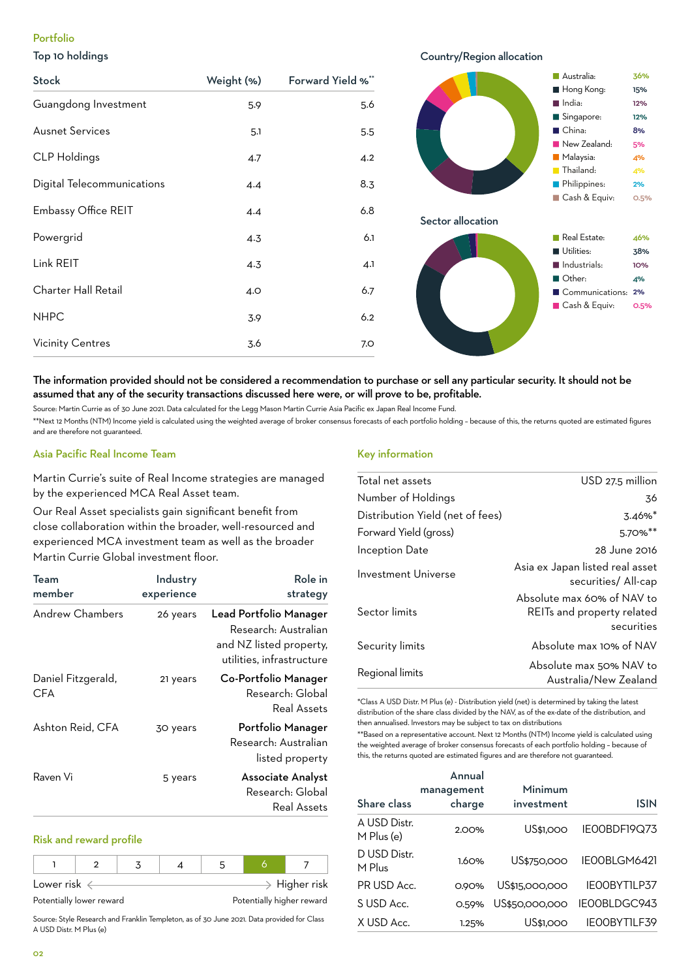## Portfolio

#### Top 10 holdings

#### Hong Kong: 15% ■ China: 8% Australia: 36% India: 12% Singapore: 12% New Zealand: 5% Malaysia: 4% **Thailand:** 4% Cash & Equiv: 0.5% Philippines: 2% Sector allocation Utilities: 38% Communications: 2% Real Estate: 46% Industrials: 10% Other: 4% Cash & Equiv: 0.5% Stock Weight (%) Forward Yield %\* Guangdong Investment 5.9 5.6 Ausnet Services 5.5 CLP Holdings 4.7 4.2 Digital Telecommunications 4.4 4 8.3 Embassy Office REIT 4.4 6.8 Powergrid 6.1 Link REIT 4.3 4.3 Charter Hall Retail 6.7 NHPC 3.9 6.2 Vicinity Centres 3.6 3.6 7.0

## The information provided should not be considered a recommendation to purchase or sell any particular security. It should not be assumed that any of the security transactions discussed here were, or will prove to be, profitable.

Source: Martin Currie as of 30 June 2021. Data calculated for the Legg Mason Martin Currie Asia Pacific ex Japan Real Income Fund.

\*\*Next 12 Months (NTM) Income yield is calculated using the weighted average of broker consensus forecasts of each portfolio holding – because of this, the returns quoted are estimated figures and are therefore not guaranteed.

## Asia Pacific Real Income Team

Martin Currie's suite of Real Income strategies are managed by the experienced MCA Real Asset team.

Our Real Asset specialists gain significant benefit from close collaboration within the broader, well-resourced and experienced MCA investment team as well as the broader Martin Currie Global investment floor.

| Team<br>member            | Industry<br>experience | Role in<br>strategy                                                                                    |
|---------------------------|------------------------|--------------------------------------------------------------------------------------------------------|
| Andrew Chambers           | 26 years               | Lead Portfolio Manager<br>Research: Australian<br>and NZ listed property,<br>utilities, infrastructure |
| Daniel Fitzgerald,<br>CFA | 21 years               | Co-Portfolio Manager<br>Research: Global<br>Real Assets                                                |
| Ashton Reid, CFA          | 30 years               | Portfolio Manager<br>Research: Australian<br>listed property                                           |
| Raven Vi                  | 5 years                | <b>Associate Analyst</b><br>Research: Global<br><b>Real Assets</b>                                     |

#### Risk and reward profile

| Lower risk $\epsilon$ |                          |  |                           |  |  | $\geq$ Higher risk |
|-----------------------|--------------------------|--|---------------------------|--|--|--------------------|
|                       | Potentially lower reward |  | Potentially higher reward |  |  |                    |

Source: Style Research and Franklin Templeton, as of 30 June 2021. Data provided for Class A USD Distr. M Plus (e)

#### Key information

| Total net assets                 | USD 27.5 million                                                       |
|----------------------------------|------------------------------------------------------------------------|
| Number of Holdings               | 36                                                                     |
| Distribution Yield (net of fees) | $3.46\%$ <sup>*</sup>                                                  |
| Forward Yield (gross)            | 5.70%**                                                                |
| Inception Date                   | 28 June 2016                                                           |
| Investment Universe              | Asia ex Japan listed real asset<br>securities/ All-cap                 |
| Sector limits                    | Absolute max 60% of NAV to<br>REITs and property related<br>securities |
| Security limits                  | Absolute max 10% of NAV                                                |
| Regional limits                  | Absolute max 50% NAV to<br>Australia/New Zealand                       |

Country/Region allocation

\*Class A USD Distr. M Plus (e) - Distribution yield (net) is determined by taking the latest distribution of the share class divided by the NAV, as of the ex-date of the distribution, and then annualised. Investors may be subject to tax on distributions

\*\*Based on a representative account. Next 12 Months (NTM) Income yield is calculated using the weighted average of broker consensus forecasts of each portfolio holding – because of this, the returns quoted are estimated figures and are therefore not guaranteed.

| Share class                | Annual<br>management<br>charge | Minimum<br>investment | ISIN                |
|----------------------------|--------------------------------|-----------------------|---------------------|
| A USD Distr.<br>M Plus (e) | 2.00%                          | US\$1,000             | IEOOBDF19Q73        |
| D USD Distr.<br>M Plus     | 1.60%                          | US\$750,000           | IEOOBLGM6421        |
| PR USD Acc.                | 0.90%                          | US\$15,000,000        | IEOOBYTILP37        |
| S USD Acc.                 | O.59%                          | US\$50,000,000        | IEOOBLDGC943        |
| X USD Acc.                 | 1.25%                          | US\$1.000             | <b>IEOOBYTILF39</b> |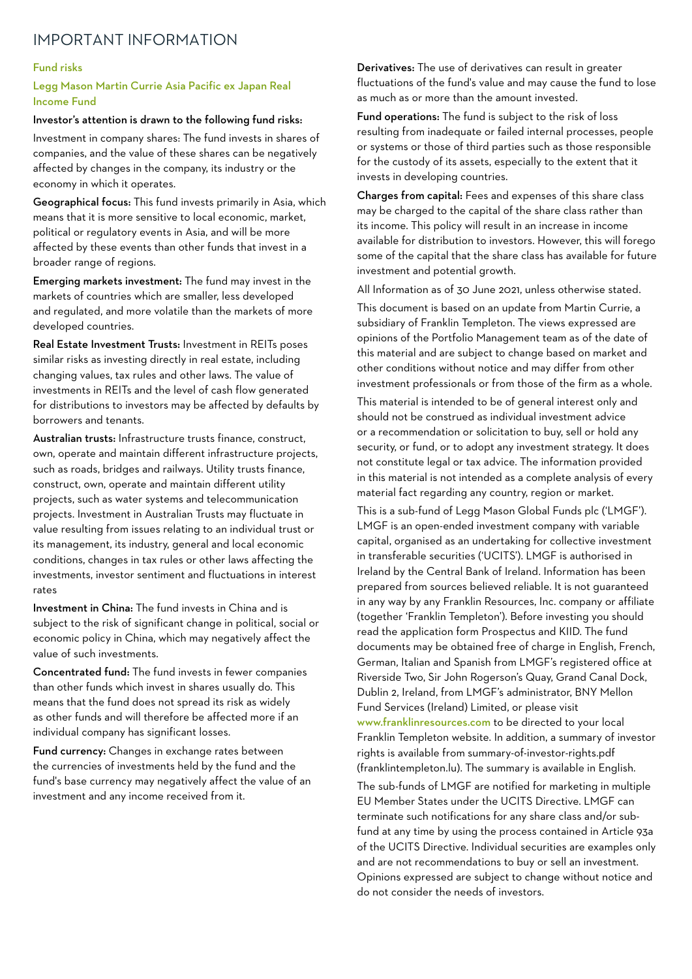# IMPORTANT INFORMATION

#### Fund risks

### Legg Mason Martin Currie Asia Pacific ex Japan Real Income Fund

#### Investor's attention is drawn to the following fund risks:

Investment in company shares: The fund invests in shares of companies, and the value of these shares can be negatively affected by changes in the company, its industry or the economy in which it operates.

Geographical focus: This fund invests primarily in Asia, which means that it is more sensitive to local economic, market, political or regulatory events in Asia, and will be more affected by these events than other funds that invest in a broader range of regions.

Emerging markets investment: The fund may invest in the markets of countries which are smaller, less developed and regulated, and more volatile than the markets of more developed countries.

Real Estate Investment Trusts: Investment in REITs poses similar risks as investing directly in real estate, including changing values, tax rules and other laws. The value of investments in REITs and the level of cash flow generated for distributions to investors may be affected by defaults by borrowers and tenants.

Australian trusts: Infrastructure trusts finance, construct, own, operate and maintain different infrastructure projects, such as roads, bridges and railways. Utility trusts finance, construct, own, operate and maintain different utility projects, such as water systems and telecommunication projects. Investment in Australian Trusts may fluctuate in value resulting from issues relating to an individual trust or its management, its industry, general and local economic conditions, changes in tax rules or other laws affecting the investments, investor sentiment and fluctuations in interest rates

Investment in China: The fund invests in China and is subject to the risk of significant change in political, social or economic policy in China, which may negatively affect the value of such investments.

Concentrated fund: The fund invests in fewer companies than other funds which invest in shares usually do. This means that the fund does not spread its risk as widely as other funds and will therefore be affected more if an individual company has significant losses.

Fund currency: Changes in exchange rates between the currencies of investments held by the fund and the fund's base currency may negatively affect the value of an investment and any income received from it.

Derivatives: The use of derivatives can result in greater fluctuations of the fund's value and may cause the fund to lose as much as or more than the amount invested.

Fund operations: The fund is subject to the risk of loss resulting from inadequate or failed internal processes, people or systems or those of third parties such as those responsible for the custody of its assets, especially to the extent that it invests in developing countries.

Charges from capital: Fees and expenses of this share class may be charged to the capital of the share class rather than its income. This policy will result in an increase in income available for distribution to investors. However, this will forego some of the capital that the share class has available for future investment and potential growth.

All Information as of 30 June 2021, unless otherwise stated. This document is based on an update from Martin Currie, a subsidiary of Franklin Templeton. The views expressed are opinions of the Portfolio Management team as of the date of this material and are subject to change based on market and other conditions without notice and may differ from other investment professionals or from those of the firm as a whole.

This material is intended to be of general interest only and should not be construed as individual investment advice or a recommendation or solicitation to buy, sell or hold any security, or fund, or to adopt any investment strategy. It does not constitute legal or tax advice. The information provided in this material is not intended as a complete analysis of every material fact regarding any country, region or market.

This is a sub-fund of Legg Mason Global Funds plc ('LMGF'). LMGF is an open-ended investment company with variable capital, organised as an undertaking for collective investment in transferable securities ('UCITS'). LMGF is authorised in Ireland by the Central Bank of Ireland. Information has been prepared from sources believed reliable. It is not guaranteed in any way by any Franklin Resources, Inc. company or affiliate (together 'Franklin Templeton'). Before investing you should read the application form Prospectus and KIID. The fund documents may be obtained free of charge in English, French, German, Italian and Spanish from LMGF's registered office at Riverside Two, Sir John Rogerson's Quay, Grand Canal Dock, Dublin 2, Ireland, from LMGF's administrator, BNY Mellon Fund Services (Ireland) Limited, or please visit www.franklinresources.com to be directed to your local Franklin Templeton website. In addition, a summary of investor rights is available from summary-of-investor-rights.pdf

The sub-funds of LMGF are notified for marketing in multiple EU Member States under the UCITS Directive. LMGF can terminate such notifications for any share class and/or subfund at any time by using the process contained in Article 93a of the UCITS Directive. Individual securities are examples only and are not recommendations to buy or sell an investment. Opinions expressed are subject to change without notice and do not consider the needs of investors.

(franklintempleton.lu). The summary is available in English.